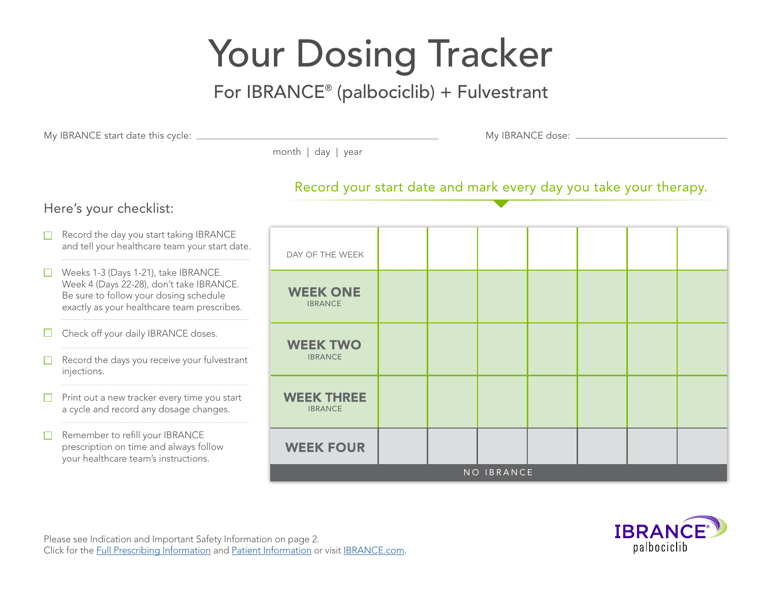# Your Dosing Tracker

# For IBRANCE® (palbociclib) + Fulvestrant

My IBRANCE start date this cycle: My IBRANCE dose:

month | day | year

#### Record your start date and mark every day you take your therapy.

### Here's your checklist:

 $\Box$  Record the day you start taking IBRANCE and tell your healthcare team your start date. DAY OF THE WEEK Weeks 1-3 (Days 1-21), take IBRANCE. П Week 4 (Days 22-28), don't take IBRANCE. **WEEK ONE** Be sure to follow your dosing schedule IBRANCE exactly as your healthcare team prescribes. Check off your daily IBRANCE doses.  $\Box$ **WEEK TWO** Record the days you receive your fulvestrant IBRANCE  $\Box$ injections.  $\Box$  Print out a new tracker every time you start **WEEK THREE** a cycle and record any dosage changes. IBRANCE Remember to refill your IBRANCE  $\Box$ prescription on time and always follow **WEEK FOUR** your healthcare team's instructions. NO IBRANCE